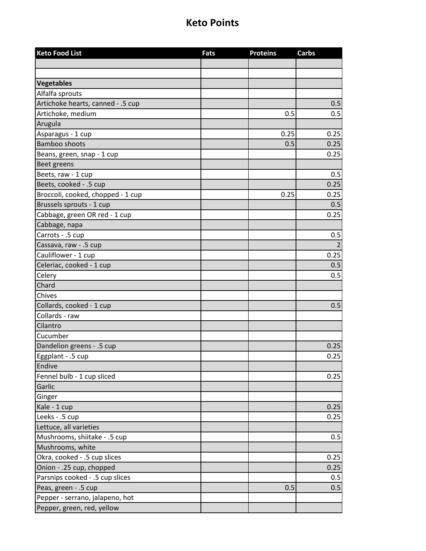| <b>Keto Food List</b>             | <b>Fats</b> | <b>Proteins</b> | <b>Carbs</b> |
|-----------------------------------|-------------|-----------------|--------------|
|                                   |             |                 |              |
|                                   |             |                 |              |
| <b>Vegetables</b>                 |             |                 |              |
| Alfalfa sprouts                   |             |                 |              |
| Artichoke hearts, canned - .5 cup |             |                 | 0.5          |
| Artichoke, medium                 |             | 0.5             | 0.5          |
| Arugula                           |             |                 |              |
| Asparagus - 1 cup                 |             | 0.25            | 0.25         |
| <b>Bamboo shoots</b>              |             | 0.5             | 0.25         |
| Beans, green, snap - 1 cup        |             |                 | 0.25         |
| Beet greens                       |             |                 |              |
| Beets, raw - 1 cup                |             |                 | 0.5          |
| Beets, cooked - .5 cup            |             |                 | 0.25         |
| Broccoli, cooked, chopped - 1 cup |             | 0.25            | 0.25         |
| Brussels sprouts - 1 cup          |             |                 | 0.5          |
| Cabbage, green OR red - 1 cup     |             |                 | 0.25         |
| Cabbage, napa                     |             |                 |              |
| Carrots - .5 cup                  |             |                 | 0.5          |
| Cassava, raw - .5 cup             |             |                 |              |
| Cauliflower - 1 cup               |             |                 | 0.25         |
| Celeriac, cooked - 1 cup          |             |                 | 0.5          |
| Celery                            |             |                 | 0.5          |
| Chard                             |             |                 |              |
| Chives                            |             |                 |              |
| Collards, cooked - 1 cup          |             |                 | 0.5          |
| Collards - raw                    |             |                 |              |
| Cilantro                          |             |                 |              |
| Cucumber                          |             |                 |              |
| Dandelion greens - .5 cup         |             |                 | 0.25         |
| Eggplant - .5 cup                 |             |                 | 0.25         |
| Endive                            |             |                 |              |
| Fennel bulb - 1 cup sliced        |             |                 | 0.25         |
| Garlic                            |             |                 |              |
| Ginger                            |             |                 |              |
| Kale - 1 cup                      |             |                 | 0.25         |
| Leeks - .5 cup                    |             |                 | 0.25         |
| Lettuce, all varieties            |             |                 |              |
| Mushrooms, shiitake - .5 cup      |             |                 | 0.5          |
| Mushrooms, white                  |             |                 |              |
| Okra, cooked - .5 cup slices      |             |                 | 0.25         |
| Onion - .25 cup, chopped          |             |                 | 0.25         |
| Parsnips cooked - .5 cup slices   |             |                 | 0.5          |
| Peas, green - .5 cup              |             | 0.5             | 0.5          |
| Pepper - serrano, jalapeno, hot   |             |                 |              |
| Pepper, green, red, yellow        |             |                 |              |
|                                   |             |                 |              |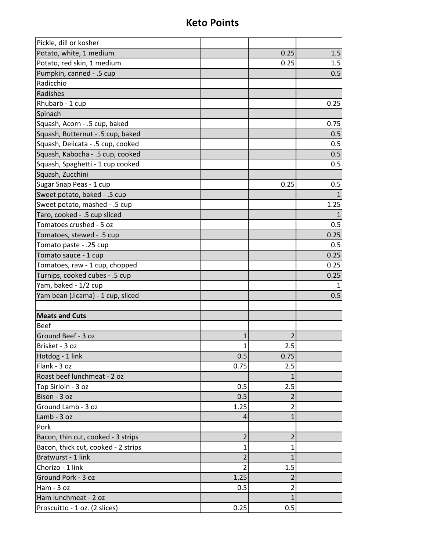| Pickle, dill or kosher              |                |                |      |
|-------------------------------------|----------------|----------------|------|
| Potato, white, 1 medium             |                | 0.25           | 1.5  |
| Potato, red skin, 1 medium          |                | 0.25           | 1.5  |
| Pumpkin, canned - .5 cup            |                |                | 0.5  |
| Radicchio                           |                |                |      |
| Radishes                            |                |                |      |
| Rhubarb - 1 cup                     |                |                | 0.25 |
| Spinach                             |                |                |      |
| Squash, Acorn - .5 cup, baked       |                |                | 0.75 |
| Squash, Butternut - .5 cup, baked   |                |                | 0.5  |
| Squash, Delicata - .5 cup, cooked   |                |                | 0.5  |
| Squash, Kabocha - .5 cup, cooked    |                |                | 0.5  |
| Squash, Spaghetti - 1 cup cooked    |                |                | 0.5  |
| Squash, Zucchini                    |                |                |      |
| Sugar Snap Peas - 1 cup             |                | 0.25           | 0.5  |
| Sweet potato, baked - .5 cup        |                |                |      |
| Sweet potato, mashed - .5 cup       |                |                | 1.25 |
| Taro, cooked - .5 cup sliced        |                |                |      |
| Tomatoes crushed - 5 oz             |                |                | 0.5  |
| Tomatoes, stewed - .5 cup           |                |                | 0.25 |
| Tomato paste - .25 cup              |                |                | 0.5  |
| Tomato sauce - 1 cup                |                |                | 0.25 |
| Tomatoes, raw - 1 cup, chopped      |                |                | 0.25 |
| Turnips, cooked cubes - .5 cup      |                |                | 0.25 |
| Yam, baked - 1/2 cup                |                |                |      |
| Yam bean (Jicama) - 1 cup, sliced   |                |                | 0.5  |
|                                     |                |                |      |
| <b>Meats and Cuts</b>               |                |                |      |
| <b>Beef</b>                         |                |                |      |
| Ground Beef - 3 oz                  | 1              | $\overline{2}$ |      |
| Brisket - 3 oz                      | $\mathbf{1}$   | 2.5            |      |
| Hotdog - 1 link                     | 0.5            | 0.75           |      |
| Flank - 3 oz                        | 0.75           | 2.5            |      |
| Roast beef lunchmeat - 2 oz         |                | $\mathbf{1}$   |      |
| Top Sirloin - 3 oz                  | 0.5            | 2.5            |      |
| Bison - 3 oz                        | 0.5            | $\overline{2}$ |      |
| Ground Lamb - 3 oz                  | 1.25           | $\overline{2}$ |      |
| Lamb - 3 oz                         | 4              | $\mathbf{1}$   |      |
| Pork                                |                |                |      |
| Bacon, thin cut, cooked - 3 strips  | $\overline{2}$ | $\overline{2}$ |      |
| Bacon, thick cut, cooked - 2 strips | $\mathbf{1}$   | $\mathbf{1}$   |      |
| Bratwurst - 1 link                  | 2              | 1              |      |
| Chorizo - 1 link                    | $\overline{2}$ | 1.5            |      |
| Ground Pork - 3 oz                  | 1.25           | 2              |      |
| Ham - 3 oz                          | 0.5            | $\overline{2}$ |      |
| Ham lunchmeat - 2 oz                |                | $\mathbf 1$    |      |
| Proscuitto - 1 oz. (2 slices)       | 0.25           | 0.5            |      |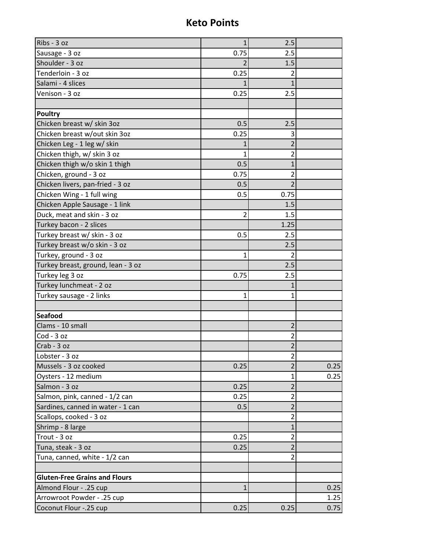| Ribs - 3 oz                          | $\mathbf{1}$ | 2.5                     |      |
|--------------------------------------|--------------|-------------------------|------|
| Sausage - 3 oz                       | 0.75         | 2.5                     |      |
| Shoulder - 3 oz                      |              | 1.5                     |      |
| Tenderloin - 3 oz                    | 0.25         | 2                       |      |
| Salami - 4 slices                    |              | $\mathbf{1}$            |      |
| Venison - 3 oz                       | 0.25         | 2.5                     |      |
|                                      |              |                         |      |
| <b>Poultry</b>                       |              |                         |      |
| Chicken breast w/ skin 3oz           | 0.5          | 2.5                     |      |
| Chicken breast w/out skin 3oz        | 0.25         | 3                       |      |
| Chicken Leg - 1 leg w/ skin          |              | $\overline{2}$          |      |
| Chicken thigh, w/ skin 3 oz          | 1            | 2                       |      |
| Chicken thigh w/o skin 1 thigh       | 0.5          | $\mathbf{1}$            |      |
| Chicken, ground - 3 oz               | 0.75         | 2                       |      |
| Chicken livers, pan-fried - 3 oz     | 0.5          | $\overline{2}$          |      |
| Chicken Wing - 1 full wing           | 0.5          | 0.75                    |      |
| Chicken Apple Sausage - 1 link       |              | 1.5                     |      |
| Duck, meat and skin - 3 oz           | 2            | 1.5                     |      |
| Turkey bacon - 2 slices              |              | 1.25                    |      |
| Turkey breast w/ skin - 3 oz         | 0.5          | 2.5                     |      |
| Turkey breast w/o skin - 3 oz        |              | 2.5                     |      |
| Turkey, ground - 3 oz                | $\mathbf{1}$ | $\overline{2}$          |      |
| Turkey breast, ground, lean - 3 oz   |              | 2.5                     |      |
| Turkey leg 3 oz                      | 0.75         | 2.5                     |      |
| Turkey lunchmeat - 2 oz              |              | 1                       |      |
| Turkey sausage - 2 links             | 1            | 1                       |      |
|                                      |              |                         |      |
| <b>Seafood</b>                       |              |                         |      |
| Clams - 10 small                     |              | $\overline{2}$          |      |
| $Cod - 3 oz$                         |              | 2                       |      |
| Crab - 3 oz                          |              | $\overline{2}$          |      |
| Lobster - 3 oz                       |              | $\overline{2}$          |      |
| Mussels - 3 oz cooked                | 0.25         | $\overline{2}$          | 0.25 |
| Oysters - 12 medium                  |              | $\mathbf{1}$            | 0.25 |
| Salmon - 3 oz                        | 0.25         | $\overline{2}$          |      |
| Salmon, pink, canned - 1/2 can       | 0.25         | $\overline{2}$          |      |
| Sardines, canned in water - 1 can    | 0.5          | $\overline{\mathbf{c}}$ |      |
| Scallops, cooked - 3 oz              |              | $\overline{2}$          |      |
| Shrimp - 8 large                     |              | $\mathbf{1}$            |      |
| Trout - 3 oz                         | 0.25         | $\overline{2}$          |      |
| Tuna, steak - 3 oz                   | 0.25         | $\overline{2}$          |      |
| Tuna, canned, white - 1/2 can        |              | 2                       |      |
|                                      |              |                         |      |
| <b>Gluten-Free Grains and Flours</b> |              |                         |      |
| Almond Flour - .25 cup               | $\mathbf{1}$ |                         | 0.25 |
| Arrowroot Powder - .25 cup           |              |                         | 1.25 |
| Coconut Flour -. 25 cup              | 0.25         | 0.25                    | 0.75 |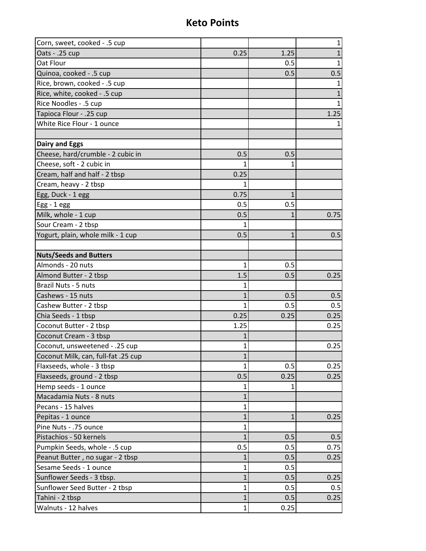| Corn, sweet, cooked - .5 cup        |              |              | $\mathbf 1$  |
|-------------------------------------|--------------|--------------|--------------|
| Oats - .25 cup                      | 0.25         | 1.25         | $\mathbf{1}$ |
| Oat Flour                           |              | 0.5          | $\mathbf{1}$ |
| Quinoa, cooked - .5 cup             |              | 0.5          | 0.5          |
| Rice, brown, cooked - .5 cup        |              |              | $\mathbf{1}$ |
| Rice, white, cooked - .5 cup        |              |              | 1            |
| Rice Noodles - .5 cup               |              |              | 1            |
| Tapioca Flour - .25 cup             |              |              | 1.25         |
| White Rice Flour - 1 ounce          |              |              | 1.           |
|                                     |              |              |              |
| <b>Dairy and Eggs</b>               |              |              |              |
| Cheese, hard/crumble - 2 cubic in   | 0.5          | 0.5          |              |
| Cheese, soft - 2 cubic in           |              | 1            |              |
| Cream, half and half - 2 tbsp       | 0.25         |              |              |
| Cream, heavy - 2 tbsp               | 1            |              |              |
| Egg, Duck - 1 egg                   | 0.75         | 1            |              |
| $Egg - 1egg$                        | 0.5          | 0.5          |              |
| Milk, whole - 1 cup                 | 0.5          | 1            | 0.75         |
| Sour Cream - 2 tbsp                 |              |              |              |
| Yogurt, plain, whole milk - 1 cup   | 0.5          | $\mathbf{1}$ | 0.5          |
|                                     |              |              |              |
| <b>Nuts/Seeds and Butters</b>       |              |              |              |
| Almonds - 20 nuts                   | 1            | 0.5          |              |
| Almond Butter - 2 tbsp              | 1.5          | 0.5          | 0.25         |
| Brazil Nuts - 5 nuts                | 1            |              |              |
| Cashews - 15 nuts                   | 1            | 0.5          | 0.5          |
| Cashew Butter - 2 tbsp              | 1            | 0.5          | 0.5          |
| Chia Seeds - 1 tbsp                 | 0.25         | 0.25         | 0.25         |
| Coconut Butter - 2 tbsp             | 1.25         |              | 0.25         |
| Coconut Cream - 3 tbsp              |              |              |              |
| Coconut, unsweetened - .25 cup      | 1            |              | 0.25         |
| Coconut Milk, can, full-fat .25 cup | 1            |              |              |
| Flaxseeds, whole - 3 tbsp           | 1            | 0.5          | 0.25         |
| Flaxseeds, ground - 2 tbsp          | 0.5          | 0.25         | 0.25         |
| Hemp seeds - 1 ounce                |              |              |              |
| Macadamia Nuts - 8 nuts             |              |              |              |
| Pecans - 15 halves                  | 1            |              |              |
| Pepitas - 1 ounce                   | 1            | 1            | 0.25         |
| Pine Nuts - .75 ounce               | 1            |              |              |
| Pistachios - 50 kernels             |              | 0.5          | 0.5          |
| Pumpkin Seeds, whole - .5 cup       | 0.5          | 0.5          | 0.75         |
| Peanut Butter, no sugar - 2 tbsp    |              | 0.5          | 0.25         |
| Sesame Seeds - 1 ounce              | 1            | 0.5          |              |
| Sunflower Seeds - 3 tbsp.           | 1            | 0.5          | 0.25         |
| Sunflower Seed Butter - 2 tbsp      | 1            | 0.5          | 0.5          |
| Tahini - 2 tbsp                     | $\mathbf{1}$ | 0.5          | 0.25         |
| Walnuts - 12 halves                 | 1            | 0.25         |              |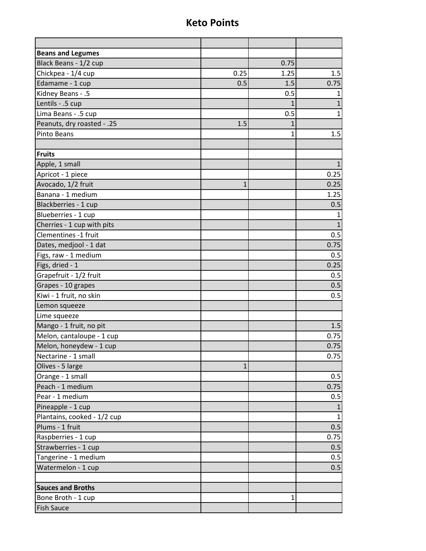| <b>Beans and Legumes</b>    |      |              |              |
|-----------------------------|------|--------------|--------------|
| Black Beans - 1/2 cup       |      | 0.75         |              |
| Chickpea - 1/4 cup          | 0.25 | 1.25         | 1.5          |
| Edamame - 1 cup             | 0.5  | 1.5          | 0.75         |
| Kidney Beans - .5           |      | 0.5          | 1            |
| Lentils - .5 cup            |      | $\mathbf{1}$ | $\mathbf{1}$ |
| Lima Beans - .5 cup         |      | 0.5          | 1            |
| Peanuts, dry roasted - .25  | 1.5  | 1            |              |
| Pinto Beans                 |      | 1            | 1.5          |
|                             |      |              |              |
| Fruits                      |      |              |              |
| Apple, 1 small              |      |              | $\mathbf{1}$ |
| Apricot - 1 piece           |      |              | 0.25         |
| Avocado, 1/2 fruit          | 1    |              | 0.25         |
| Banana - 1 medium           |      |              | 1.25         |
| Blackberries - 1 cup        |      |              | 0.5          |
| Blueberries - 1 cup         |      |              | $\mathbf{1}$ |
| Cherries - 1 cup with pits  |      |              | $\mathbf{1}$ |
| Clementines -1 fruit        |      |              | 0.5          |
| Dates, medjool - 1 dat      |      |              | 0.75         |
| Figs, raw - 1 medium        |      |              | 0.5          |
| Figs, dried - 1             |      |              | 0.25         |
| Grapefruit - 1/2 fruit      |      |              | 0.5          |
| Grapes - 10 grapes          |      |              | 0.5          |
| Kiwi - 1 fruit, no skin     |      |              | 0.5          |
| Lemon squeeze               |      |              |              |
| Lime squeeze                |      |              |              |
| Mango - 1 fruit, no pit     |      |              | 1.5          |
| Melon, cantaloupe - 1 cup   |      |              | 0.75         |
| Melon, honeydew - 1 cup     |      |              | 0.75         |
| Nectarine - 1 small         |      |              | 0.75         |
| Olives - 5 large            | 1    |              |              |
| Orange - 1 small            |      |              | 0.5          |
| Peach - 1 medium            |      |              | 0.75         |
| Pear - 1 medium             |      |              | 0.5          |
| Pineapple - 1 cup           |      |              |              |
| Plantains, cooked - 1/2 cup |      |              | $\mathbf{1}$ |
| Plums - 1 fruit             |      |              | 0.5          |
| Raspberries - 1 cup         |      |              | 0.75         |
| Strawberries - 1 cup        |      |              | 0.5          |
| Tangerine - 1 medium        |      |              | 0.5          |
| Watermelon - 1 cup          |      |              | 0.5          |
|                             |      |              |              |
| <b>Sauces and Broths</b>    |      |              |              |
| Bone Broth - 1 cup          |      | 1            |              |
| <b>Fish Sauce</b>           |      |              |              |